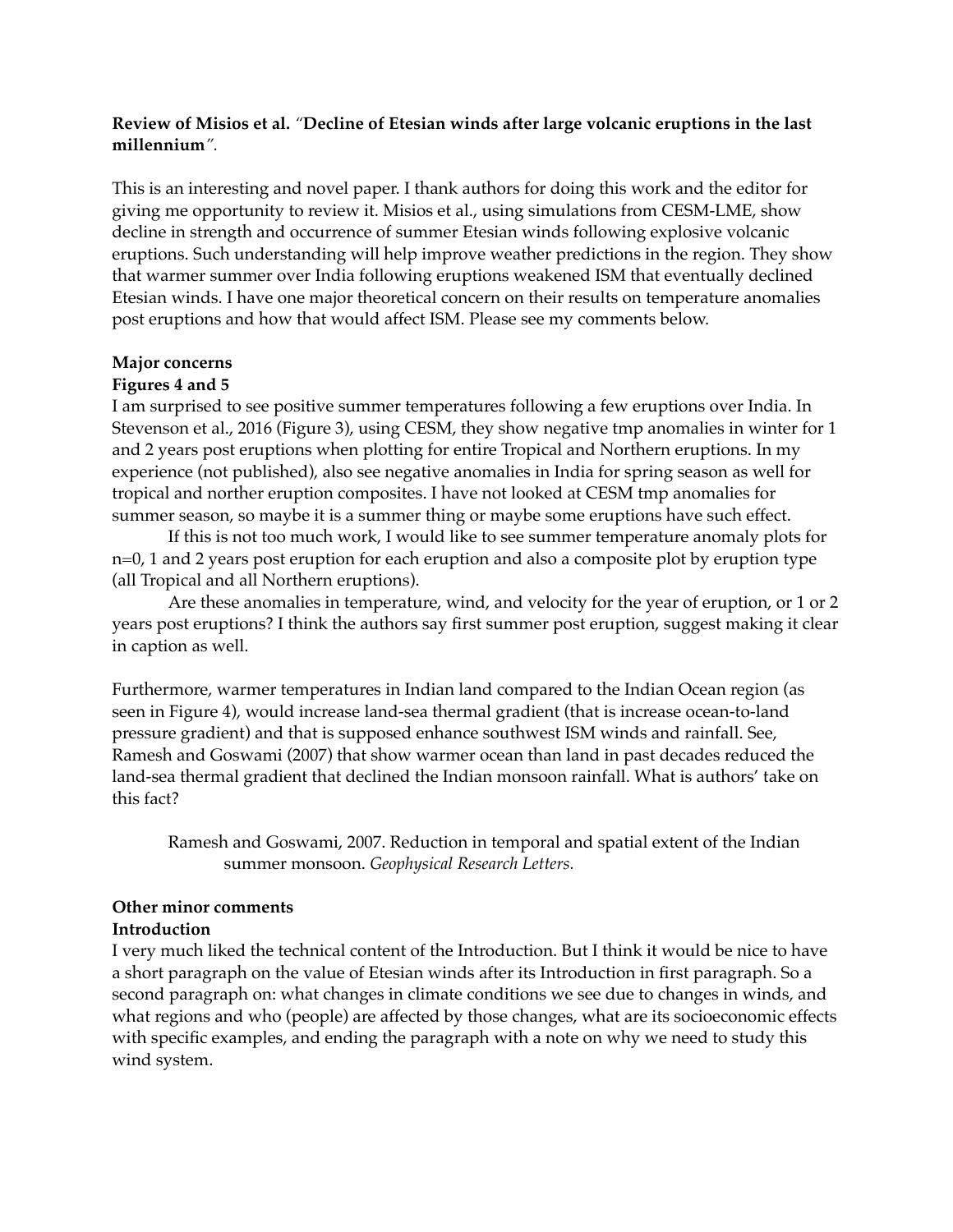## **Review of Misios et al.** *"***Decline of Etesian winds after large volcanic eruptions in the last millennium***".*

This is an interesting and novel paper. I thank authors for doing this work and the editor for giving me opportunity to review it. Misios et al., using simulations from CESM-LME, show decline in strength and occurrence of summer Etesian winds following explosive volcanic eruptions. Such understanding will help improve weather predictions in the region. They show that warmer summer over India following eruptions weakened ISM that eventually declined Etesian winds. I have one major theoretical concern on their results on temperature anomalies post eruptions and how that would affect ISM. Please see my comments below.

### **Major concerns**

### **Figures 4 and 5**

I am surprised to see positive summer temperatures following a few eruptions over India. In Stevenson et al., 2016 (Figure 3), using CESM, they show negative tmp anomalies in winter for 1 and 2 years post eruptions when plotting for entire Tropical and Northern eruptions. In my experience (not published), also see negative anomalies in India for spring season as well for tropical and norther eruption composites. I have not looked at CESM tmp anomalies for summer season, so maybe it is a summer thing or maybe some eruptions have such effect.

If this is not too much work, I would like to see summer temperature anomaly plots for n=0, 1 and 2 years post eruption for each eruption and also a composite plot by eruption type (all Tropical and all Northern eruptions).

Are these anomalies in temperature, wind, and velocity for the year of eruption, or 1 or 2 years post eruptions? I think the authors say first summer post eruption, suggest making it clear in caption as well.

Furthermore, warmer temperatures in Indian land compared to the Indian Ocean region (as seen in Figure 4), would increase land-sea thermal gradient (that is increase ocean-to-land pressure gradient) and that is supposed enhance southwest ISM winds and rainfall. See, Ramesh and Goswami (2007) that show warmer ocean than land in past decades reduced the land-sea thermal gradient that declined the Indian monsoon rainfall. What is authors' take on this fact?

Ramesh and Goswami, 2007. Reduction in temporal and spatial extent of the Indian summer monsoon. *Geophysical Research Letters.*

### **Other minor comments Introduction**

I very much liked the technical content of the Introduction. But I think it would be nice to have a short paragraph on the value of Etesian winds after its Introduction in first paragraph. So a second paragraph on: what changes in climate conditions we see due to changes in winds, and what regions and who (people) are affected by those changes, what are its socioeconomic effects with specific examples, and ending the paragraph with a note on why we need to study this wind system.